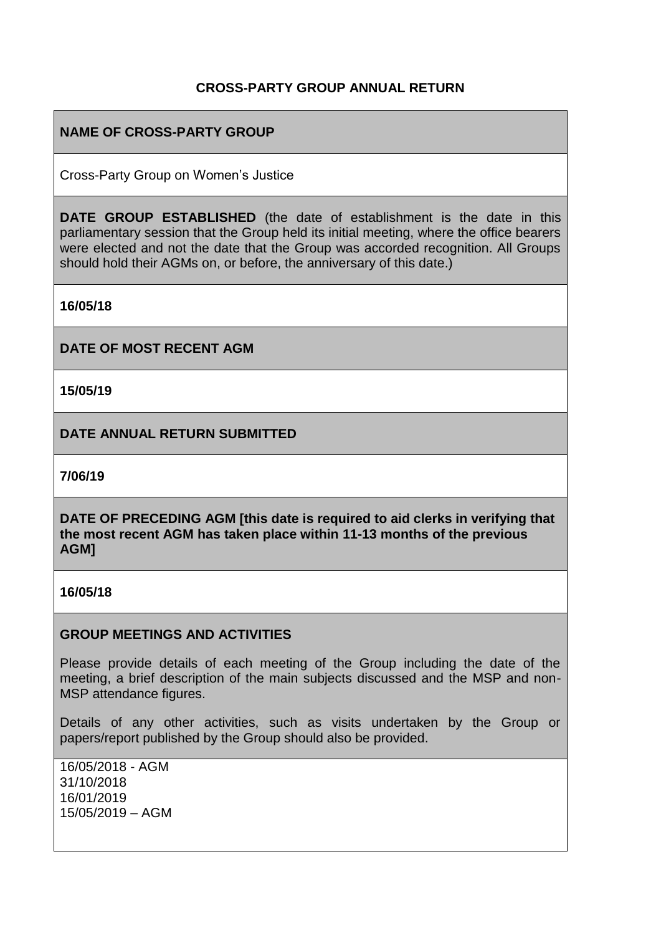#### **CROSS-PARTY GROUP ANNUAL RETURN**

#### **NAME OF CROSS-PARTY GROUP**

Cross-Party Group on Women's Justice

**DATE GROUP ESTABLISHED** (the date of establishment is the date in this parliamentary session that the Group held its initial meeting, where the office bearers were elected and not the date that the Group was accorded recognition. All Groups should hold their AGMs on, or before, the anniversary of this date.)

**16/05/18**

**DATE OF MOST RECENT AGM**

**15/05/19**

**DATE ANNUAL RETURN SUBMITTED**

**7/06/19**

**DATE OF PRECEDING AGM [this date is required to aid clerks in verifying that the most recent AGM has taken place within 11-13 months of the previous AGM]**

**16/05/18**

#### **GROUP MEETINGS AND ACTIVITIES**

Please provide details of each meeting of the Group including the date of the meeting, a brief description of the main subjects discussed and the MSP and non-MSP attendance figures.

Details of any other activities, such as visits undertaken by the Group or papers/report published by the Group should also be provided.

16/05/2018 - AGM 31/10/2018 16/01/2019 15/05/2019 – AGM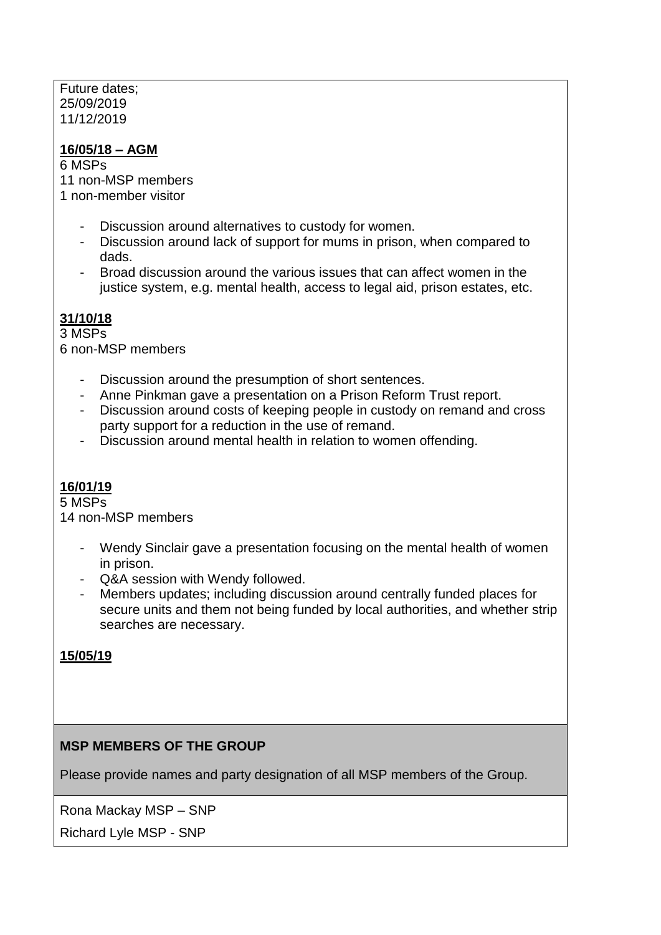Future dates; 25/09/2019 11/12/2019

#### **16/05/18 – AGM**

6 MSPs 11 non-MSP members 1 non-member visitor

- Discussion around alternatives to custody for women.
- Discussion around lack of support for mums in prison, when compared to dads.
- Broad discussion around the various issues that can affect women in the justice system, e.g. mental health, access to legal aid, prison estates, etc.

# **31/10/18**

3 MSPs 6 non-MSP members

- Discussion around the presumption of short sentences.
- Anne Pinkman gave a presentation on a Prison Reform Trust report.
- Discussion around costs of keeping people in custody on remand and cross party support for a reduction in the use of remand.
- Discussion around mental health in relation to women offending.

#### **16/01/19**

5 MSPs

14 non-MSP members

- Wendy Sinclair gave a presentation focusing on the mental health of women in prison.
- Q&A session with Wendy followed.
- Members updates; including discussion around centrally funded places for secure units and them not being funded by local authorities, and whether strip searches are necessary.

#### **15/05/19**

#### **MSP MEMBERS OF THE GROUP**

Please provide names and party designation of all MSP members of the Group.

Rona Mackay MSP – SNP

Richard Lyle MSP - SNP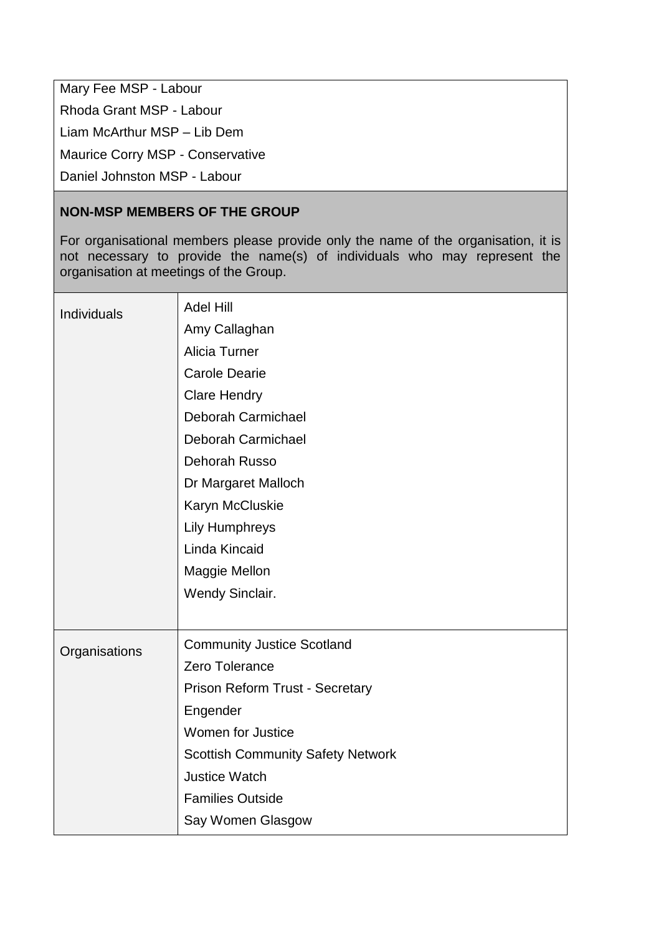Mary Fee MSP - Labour Rhoda Grant MSP - Labour Liam McArthur MSP – Lib Dem Maurice Corry MSP - Conservative Daniel Johnston MSP - Labour

## **NON-MSP MEMBERS OF THE GROUP**

For organisational members please provide only the name of the organisation, it is not necessary to provide the name(s) of individuals who may represent the organisation at meetings of the Group.

| Individuals   | <b>Adel Hill</b>                         |
|---------------|------------------------------------------|
|               | Amy Callaghan                            |
|               | Alicia Turner                            |
|               | <b>Carole Dearie</b>                     |
|               | <b>Clare Hendry</b>                      |
|               | Deborah Carmichael                       |
|               | Deborah Carmichael                       |
|               | Dehorah Russo                            |
|               | Dr Margaret Malloch                      |
|               | Karyn McCluskie                          |
|               | <b>Lily Humphreys</b>                    |
|               | Linda Kincaid                            |
|               | Maggie Mellon                            |
|               | Wendy Sinclair.                          |
|               |                                          |
| Organisations | <b>Community Justice Scotland</b>        |
|               | Zero Tolerance                           |
|               | Prison Reform Trust - Secretary          |
|               | Engender                                 |
|               | Women for Justice                        |
|               | <b>Scottish Community Safety Network</b> |
|               | <b>Justice Watch</b>                     |
|               | <b>Families Outside</b>                  |
|               | Say Women Glasgow                        |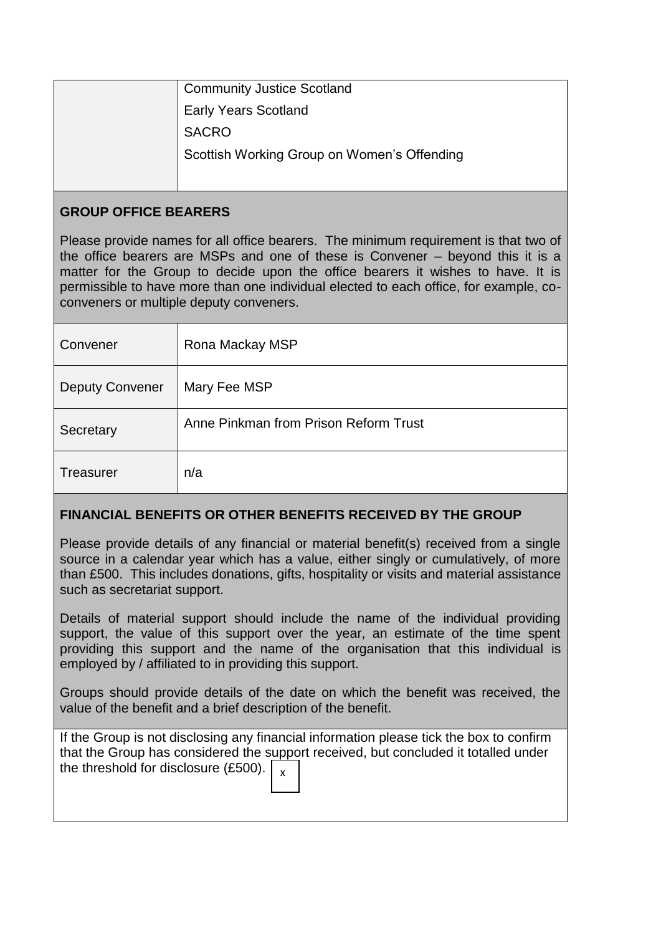| <b>Community Justice Scotland</b>           |
|---------------------------------------------|
| <b>Early Years Scotland</b>                 |
| <b>SACRO</b>                                |
| Scottish Working Group on Women's Offending |
|                                             |

### **GROUP OFFICE BEARERS**

Please provide names for all office bearers. The minimum requirement is that two of the office bearers are MSPs and one of these is Convener – beyond this it is a matter for the Group to decide upon the office bearers it wishes to have. It is permissible to have more than one individual elected to each office, for example, coconveners or multiple deputy conveners.

| Convener               | Rona Mackay MSP                       |
|------------------------|---------------------------------------|
| <b>Deputy Convener</b> | Mary Fee MSP                          |
| Secretary              | Anne Pinkman from Prison Reform Trust |
| <b>Treasurer</b>       | n/a                                   |

# **FINANCIAL BENEFITS OR OTHER BENEFITS RECEIVED BY THE GROUP**

Please provide details of any financial or material benefit(s) received from a single source in a calendar year which has a value, either singly or cumulatively, of more than £500. This includes donations, gifts, hospitality or visits and material assistance such as secretariat support.

Details of material support should include the name of the individual providing support, the value of this support over the year, an estimate of the time spent providing this support and the name of the organisation that this individual is employed by / affiliated to in providing this support.

Groups should provide details of the date on which the benefit was received, the value of the benefit and a brief description of the benefit.

If the Group is not disclosing any financial information please tick the box to confirm that the Group has considered the support received, but concluded it totalled under the threshold for disclosure (£500).  $\vert x \rangle$